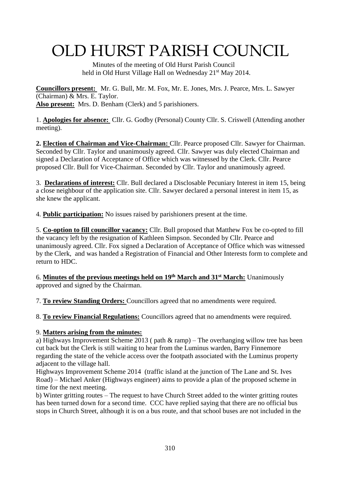# OLD HURST PARISH COUNCIL

 Minutes of the meeting of Old Hurst Parish Council held in Old Hurst Village Hall on Wednesday 21<sup>st</sup> May 2014.

**Councillors present:** Mr. G. Bull, Mr. M. Fox, Mr. E. Jones, Mrs. J. Pearce, Mrs. L. Sawyer (Chairman) & Mrs. E. Taylor. **Also present:** Mrs. D. Benham (Clerk) and 5 parishioners.

1. **Apologies for absence:** Cllr. G. Godby (Personal) County Cllr. S. Criswell (Attending another meeting).

**2. Election of Chairman and Vice-Chairman:** Cllr. Pearce proposed Cllr. Sawyer for Chairman. Seconded by Cllr. Taylor and unanimously agreed. Cllr. Sawyer was duly elected Chairman and signed a Declaration of Acceptance of Office which was witnessed by the Clerk. Cllr. Pearce proposed Cllr. Bull for Vice-Chairman. Seconded by Cllr. Taylor and unanimously agreed.

3. **Declarations of interest:** Cllr. Bull declared a Disclosable Pecuniary Interest in item 15, being a close neighbour of the application site. Cllr. Sawyer declared a personal interest in item 15, as she knew the applicant.

4. **Public participation:** No issues raised by parishioners present at the time.

5. **Co-option to fill councillor vacancy:** Cllr. Bull proposed that Matthew Fox be co-opted to fill the vacancy left by the resignation of Kathleen Simpson. Seconded by Cllr. Pearce and unanimously agreed. Cllr. Fox signed a Declaration of Acceptance of Office which was witnessed by the Clerk, and was handed a Registration of Financial and Other Interests form to complete and return to HDC.

6. **Minutes of the previous meetings held on 19th March and 31st March:** Unanimously approved and signed by the Chairman.

7. **To review Standing Orders:** Councillors agreed that no amendments were required.

8. **To review Financial Regulations:** Councillors agreed that no amendments were required.

## 9. **Matters arising from the minutes:**

a) Highways Improvement Scheme 2013 ( path & ramp) – The overhanging willow tree has been cut back but the Clerk is still waiting to hear from the Luminus warden, Barry Finnemore regarding the state of the vehicle access over the footpath associated with the Luminus property adjacent to the village hall.

Highways Improvement Scheme 2014 (traffic island at the junction of The Lane and St. Ives Road) – Michael Anker (Highways engineer) aims to provide a plan of the proposed scheme in time for the next meeting.

b) Winter gritting routes – The request to have Church Street added to the winter gritting routes has been turned down for a second time. CCC have replied saying that there are no official bus stops in Church Street, although it is on a bus route, and that school buses are not included in the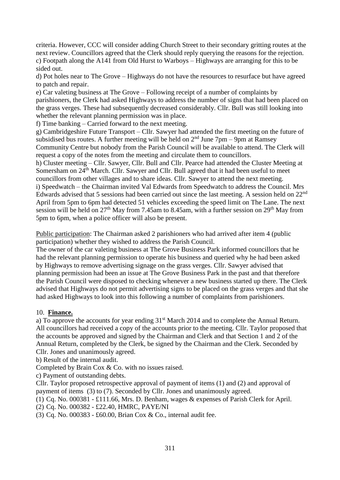criteria. However, CCC will consider adding Church Street to their secondary gritting routes at the next review. Councillors agreed that the Clerk should reply querying the reasons for the rejection. c) Footpath along the A141 from Old Hurst to Warboys – Highways are arranging for this to be sided out.

d) Pot holes near to The Grove – Highways do not have the resources to resurface but have agreed to patch and repair.

e) Car valeting business at The Grove – Following receipt of a number of complaints by parishioners, the Clerk had asked Highways to address the number of signs that had been placed on the grass verges. These had subsequently decreased considerably. Cllr. Bull was still looking into whether the relevant planning permission was in place.

f) Time banking – Carried forward to the next meeting.

g) Cambridgeshire Future Transport – Cllr. Sawyer had attended the first meeting on the future of subsidised bus routes. A further meeting will be held on  $2<sup>nd</sup>$  June 7pm – 9pm at Ramsey Community Centre but nobody from the Parish Council will be available to attend. The Clerk will request a copy of the notes from the meeting and circulate them to councillors.

h) Cluster meeting – Cllr. Sawyer, Cllr. Bull and Cllr. Pearce had attended the Cluster Meeting at Somersham on 24<sup>th</sup> March. Cllr. Sawyer and Cllr. Bull agreed that it had been useful to meet councillors from other villages and to share ideas. Cllr. Sawyer to attend the next meeting. i) Speedwatch – the Chairman invited Val Edwards from Speedwatch to address the Council. Mrs Edwards advised that 5 sessions had been carried out since the last meeting. A session held on 22<sup>nd</sup> April from 5pm to 6pm had detected 51 vehicles exceeding the speed limit on The Lane. The next session will be held on 27<sup>th</sup> May from 7.45am to 8.45am, with a further session on 29<sup>th</sup> May from 5pm to 6pm, when a police officer will also be present.

Public participation: The Chairman asked 2 parishioners who had arrived after item 4 (public participation) whether they wished to address the Parish Council.

The owner of the car valeting business at The Grove Business Park informed councillors that he had the relevant planning permission to operate his business and queried why he had been asked by Highways to remove advertising signage on the grass verges. Cllr. Sawyer advised that planning permission had been an issue at The Grove Business Park in the past and that therefore the Parish Council were disposed to checking whenever a new business started up there. The Clerk advised that Highways do not permit advertising signs to be placed on the grass verges and that she had asked Highways to look into this following a number of complaints from parishioners.

## 10. **Finance.**

a) To approve the accounts for year ending  $31<sup>st</sup>$  March 2014 and to complete the Annual Return. All councillors had received a copy of the accounts prior to the meeting. Cllr. Taylor proposed that the accounts be approved and signed by the Chairman and Clerk and that Section 1 and 2 of the Annual Return, completed by the Clerk, be signed by the Chairman and the Clerk. Seconded by Cllr. Jones and unanimously agreed.

b) Result of the internal audit.

Completed by Brain Cox & Co. with no issues raised.

c) Payment of outstanding debts.

Cllr. Taylor proposed retrospective approval of payment of items (1) and (2) and approval of payment of items (3) to (7). Seconded by Cllr. Jones and unanimously agreed.

(1) Cq. No. 000381 - £111.66, Mrs. D. Benham, wages & expenses of Parish Clerk for April.

(2) Cq. No. 000382 - £22.40, HMRC, PAYE/NI

(3) Cq. No. 000383 - £60.00, Brian Cox & Co., internal audit fee.